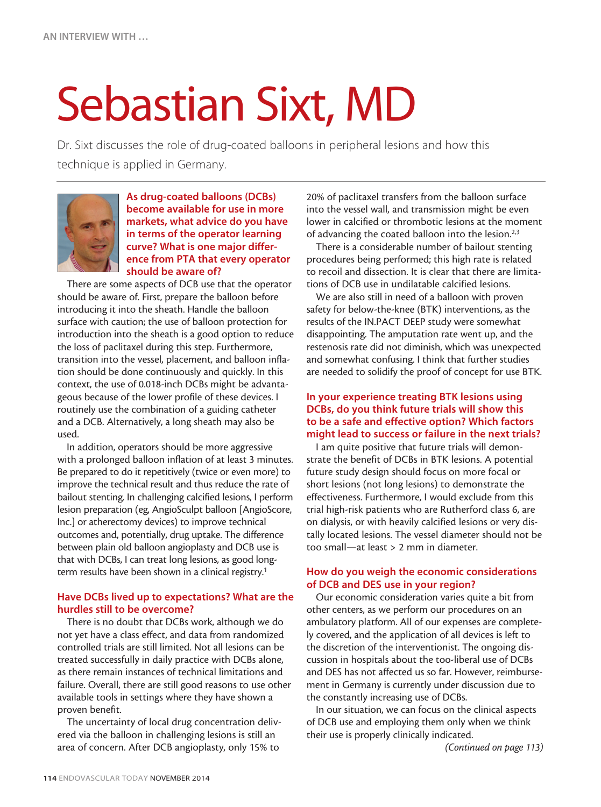# Sebastian Sixt, MD

Dr. Sixt discusses the role of drug-coated balloons in peripheral lesions and how this technique is applied in Germany.



As drug-coated balloons (DCBs) become available for use in more markets, what advice do you have in terms of the operator learning curve? What is one major difference from PTA that every operator should be aware of?

There are some aspects of DCB use that the operator should be aware of. First, prepare the balloon before introducing it into the sheath. Handle the balloon surface with caution; the use of balloon protection for introduction into the sheath is a good option to reduce the loss of paclitaxel during this step. Furthermore, transition into the vessel, placement, and balloon inflation should be done continuously and quickly. In this context, the use of 0.018-inch DCBs might be advantageous because of the lower profile of these devices. I routinely use the combination of a guiding catheter and a DCB. Alternatively, a long sheath may also be used.

In addition, operators should be more aggressive with a prolonged balloon inflation of at least 3 minutes. Be prepared to do it repetitively (twice or even more) to improve the technical result and thus reduce the rate of bailout stenting. In challenging calcified lesions, I perform lesion preparation (eg, AngioSculpt balloon [AngioScore, Inc.] or atherectomy devices) to improve technical outcomes and, potentially, drug uptake. The difference between plain old balloon angioplasty and DCB use is that with DCBs, I can treat long lesions, as good longterm results have been shown in a clinical registry.<sup>1</sup>

## Have DCBs lived up to expectations? What are the hurdles still to be overcome?

There is no doubt that DCBs work, although we do not yet have a class effect, and data from randomized controlled trials are still limited. Not all lesions can be treated successfully in daily practice with DCBs alone, as there remain instances of technical limitations and failure. Overall, there are still good reasons to use other available tools in settings where they have shown a proven benefit.

The uncertainty of local drug concentration delivered via the balloon in challenging lesions is still an area of concern. After DCB angioplasty, only 15% to

20% of paclitaxel transfers from the balloon surface into the vessel wall, and transmission might be even lower in calcified or thrombotic lesions at the moment of advancing the coated balloon into the lesion.<sup>2,3</sup>

There is a considerable number of bailout stenting procedures being performed; this high rate is related to recoil and dissection. It is clear that there are limitations of DCB use in undilatable calcified lesions.

We are also still in need of a balloon with proven safety for below-the-knee (BTK) interventions, as the results of the IN.PACT DEEP study were somewhat disappointing. The amputation rate went up, and the restenosis rate did not diminish, which was unexpected and somewhat confusing. I think that further studies are needed to solidify the proof of concept for use BTK.

### In your experience treating BTK lesions using DCBs, do you think future trials will show this to be a safe and effective option? Which factors might lead to success or failure in the next trials?

I am quite positive that future trials will demonstrate the benefit of DCBs in BTK lesions. A potential future study design should focus on more focal or short lesions (not long lesions) to demonstrate the effectiveness. Furthermore, I would exclude from this trial high-risk patients who are Rutherford class 6, are on dialysis, or with heavily calcified lesions or very distally located lesions. The vessel diameter should not be too small—at least > 2 mm in diameter.

# How do you weigh the economic considerations of DCB and DES use in your region?

Our economic consideration varies quite a bit from other centers, as we perform our procedures on an ambulatory platform. All of our expenses are completely covered, and the application of all devices is left to the discretion of the interventionist. The ongoing discussion in hospitals about the too-liberal use of DCBs and DES has not affected us so far. However, reimbursement in Germany is currently under discussion due to the constantly increasing use of DCBs.

In our situation, we can focus on the clinical aspects of DCB use and employing them only when we think their use is properly clinically indicated.

*(Continued on page 113)*